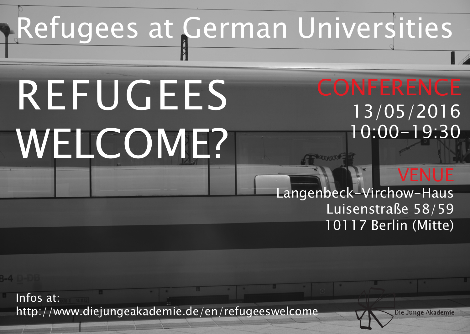## Refugees at German Universities

# REFUGEES WELCOME?

### 13/05/2016 10:00-19:30

### VENUE

Langenbeck-Virchow-Haus Luisenstraße 58/59 10117 Berlin (Mitte)

Infos at: http://www.diejungeakademie.de/en/refugeeswelcome